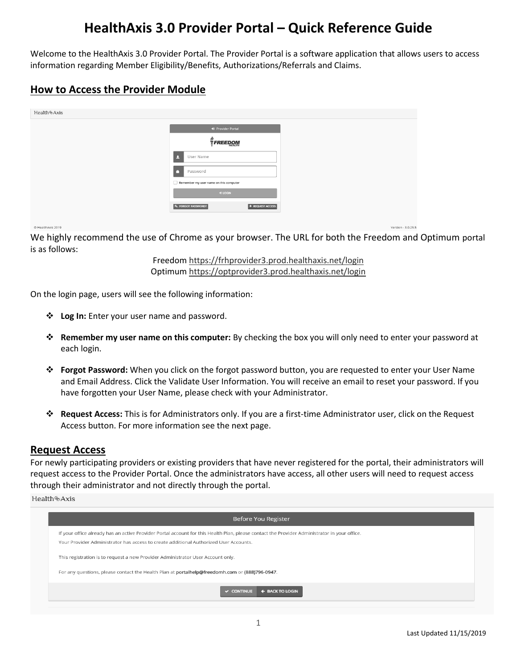# **HealthAxis 3.0 Provider Portal – Quick Reference Guide**

Welcome to the HealthAxis 3.0 Provider Portal. The Provider Portal is a software application that allows users to access information regarding Member Eligibility/Benefits, Authorizations/Referrals and Claims.

## **How to Access the Provider Module**

| Health <sup>®</sup> Axis |                                               |
|--------------------------|-----------------------------------------------|
|                          | <b>D</b> Provider Portal                      |
|                          | a<br><b>FREEDOM</b>                           |
| л                        | User Name                                     |
| P.                       | Password                                      |
|                          | Remember my user name on this computer        |
|                          | <b>ELOGIN</b>                                 |
|                          | <b>4 FORGOT PASSWORD?</b><br>+ REQUEST ACCESS |

© HealthAxis 2019

We highly recommend the use of Chrome as your browser. The URL for both the Freedom and Optimum portal is as follows:

> Freedom<https://frhprovider3.prod.healthaxis.net/login> Optimum<https://optprovider3.prod.healthaxis.net/login>

On the login page, users will see the following information:

- ❖ **Log In:** Enter your user name and password.
- ❖ **Remember my user name on this computer:** By checking the box you will only need to enter your password at each login.
- ❖ **Forgot Password:** When you click on the forgot password button, you are requested to enter your User Name and Email Address. Click the Validate User Information. You will receive an email to reset your password. If you have forgotten your User Name, please check with your Administrator.
- ❖ **Request Access:** This is for Administrators only. If you are a first-time Administrator user, click on the Request Access button. For more information see the next page.

#### **Request Access**

For newly participating providers or existing providers that have never registered for the portal, their administrators will request access to the Provider Portal. Once the administrators have access, all other users will need to request access through their administrator and not directly through the portal.

Health<sup>@</sup>Axis

| Before You Register                                                                                                                                                                                                                   |
|---------------------------------------------------------------------------------------------------------------------------------------------------------------------------------------------------------------------------------------|
| If your office already has an active Provider Portal account for this Health Plan, please contact the Provider Administrator in your office.<br>Your Provider Administrator has access to create additional Authorized User Accounts. |
| This registration is to request a new Provider Administrator User Account only.                                                                                                                                                       |
| For any questions, please contact the Health Plan at portalhelp@freedomh.com or (888)796-0947.                                                                                                                                        |
| ← BACK TO LOGIN<br>$\vee$ CONTINUE                                                                                                                                                                                                    |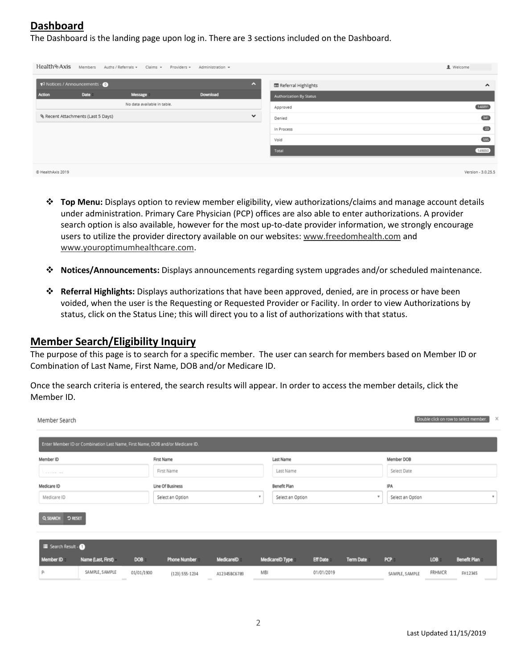## **Dashboard**

The Dashboard is the landing page upon log in. There are 3 sections included on the Dashboard.

|                                  | Health%Axis Members Auths / Referrals - |         | $Clains$ $\sim$             | Providers - | Administration - |                     |                                | 1 Welcome           |
|----------------------------------|-----------------------------------------|---------|-----------------------------|-------------|------------------|---------------------|--------------------------------|---------------------|
|                                  | ₹ Notices / Announcements - ●           |         |                             |             |                  | $\hat{\phantom{a}}$ | Referral Highlights            | $\hat{\phantom{a}}$ |
| Action                           | Date                                    | Message |                             |             | Download         |                     | <b>Authorization By Status</b> |                     |
|                                  |                                         |         | No data available in table. |             |                  |                     | Approved                       | 148891              |
| Recent Attachments (Last 5 Days) |                                         |         |                             |             | $\checkmark$     | Denied              | $341$                          |                     |
|                                  |                                         |         |                             |             |                  |                     | In Process                     | $\overline{23}$     |
|                                  |                                         |         |                             |             |                  |                     | Void                           | 595                 |
|                                  |                                         |         |                             |             |                  |                     | Total                          | 149850              |
|                                  |                                         |         |                             |             |                  |                     |                                |                     |
| C HealthAxis 2019                |                                         |         |                             |             |                  |                     |                                | Version - 3.0.25.5  |

- ❖ **Top Menu:** Displays option to review member eligibility, view authorizations/claims and manage account details under administration. Primary Care Physician (PCP) offices are also able to enter authorizations. A provider search option is also available, however for the most up-to-date provider information, we strongly encourage users to utilize the provider directory available on our websites[: www.freedomhealth.com](http://www.freedomhealth.com/) and [www.youroptimumhealthcare.com.](http://www.youroptimumhealthcare.com/)
- ❖ **Notices/Announcements:** Displays announcements regarding system upgrades and/or scheduled maintenance.
- ❖ **Referral Highlights:** Displays authorizations that have been approved, denied, are in process or have been voided, when the user is the Requesting or Requested Provider or Facility. In order to view Authorizations by status, click on the Status Line; this will direct you to a list of authorizations with that status.

#### **Member Search/Eligibility Inquiry**

. . . .

The purpose of this page is to search for a specific member. The user can search for members based on Member ID or Combination of Last Name, First Name, DOB and/or Medicare ID.

Once the search criteria is entered, the search results will appear. In order to access the member details, click the Member ID.

| Member Search                            |                                                                               |            |                                         |                   |     |                                              |                 |                  |                  |               | PAARING CIRV ALL LAM TO SCIEPT LIKELING! |                     |
|------------------------------------------|-------------------------------------------------------------------------------|------------|-----------------------------------------|-------------------|-----|----------------------------------------------|-----------------|------------------|------------------|---------------|------------------------------------------|---------------------|
|                                          | Enter Member ID or Combination Last Name, First Name, DOB and/or Medicare ID. |            |                                         |                   |     |                                              |                 |                  |                  |               |                                          |                     |
| Member ID<br>First Name                  |                                                                               |            |                                         | Last Name         |     |                                              | Member DOB      |                  |                  |               |                                          |                     |
| The contract of the contract of the con- |                                                                               |            | First Name                              |                   |     | Last Name                                    |                 |                  | Select Date      |               |                                          |                     |
| Medicare ID                              |                                                                               |            | Line Of Business                        |                   |     | Benefit Plan                                 |                 |                  | IPA              |               |                                          |                     |
| Medicare ID                              |                                                                               |            | Select an Option<br>$\scriptstyle\rm w$ |                   |     | Select an Option<br>$\overline{\phantom{a}}$ |                 |                  | Select an Option |               |                                          | $\scriptstyle\rm w$ |
| <b>DRESET</b><br>Q SEARCH                |                                                                               |            |                                         |                   |     |                                              |                 |                  |                  |               |                                          |                     |
| Search Result -                          |                                                                               |            |                                         |                   |     |                                              |                 |                  |                  |               |                                          |                     |
| Member ID                                | Name (Last, First) -                                                          | DOB        | <b>Phone Number</b>                     | <b>MedicareID</b> |     | MedicareID Type                              | <b>Eff Date</b> | <b>Term Date</b> | PCP-             | LOB-          | Benefit Plan                             |                     |
| $\mathsf{p}_1$                           | SAMPLE, SAMPLE                                                                | 01/01/1900 | $(123)$ 555-1234                        | A12345BC6789      | MBI |                                              | 01/01/2019      |                  | SAMPLE, SAMPLE   | <b>FRHMCR</b> | FH12345                                  |                     |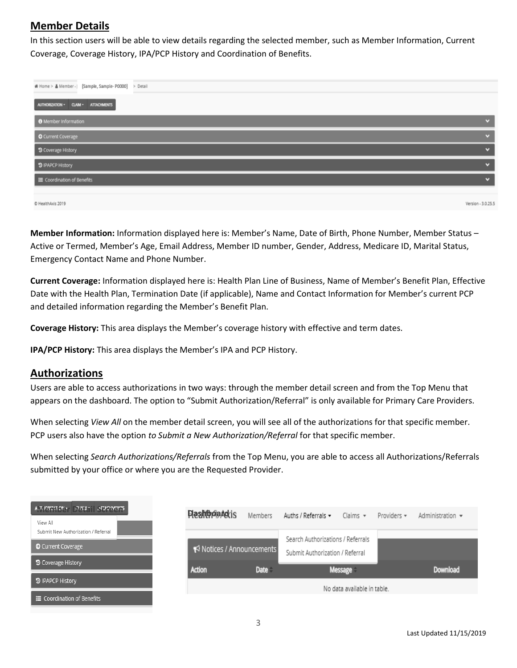## **Member Details**

In this section users will be able to view details regarding the selected member, such as Member Information, Current Coverage, Coverage History, IPA/PCP History and Coordination of Benefits.

| # Home > & Member - [Sample, Sample-P0000]       | > Detail                |
|--------------------------------------------------|-------------------------|
| CLAIM *<br><b>ATTACHMENTS</b><br>AUTHORIZATION * |                         |
| <b>O</b> Member Information                      | $\bullet$               |
| O Current Coverage                               | $\mathbf{v}$            |
| <b>D</b> Coverage History                        | $\overline{\mathbf{v}}$ |
| D IPAPCP History                                 | $\overline{\mathbf{v}}$ |
| E Coordination of Benefits                       | $\checkmark$            |
|                                                  |                         |
| C HealthAxis 2019                                | Version - 3.0.25.5      |

**Member Information:** Information displayed here is: Member's Name, Date of Birth, Phone Number, Member Status – Active or Termed, Member's Age, Email Address, Member ID number, Gender, Address, Medicare ID, Marital Status, Emergency Contact Name and Phone Number.

**Current Coverage:** Information displayed here is: Health Plan Line of Business, Name of Member's Benefit Plan, Effective Date with the Health Plan, Termination Date (if applicable), Name and Contact Information for Member's current PCP and detailed information regarding the Member's Benefit Plan.

**Coverage History:** This area displays the Member's coverage history with effective and term dates.

**IPA/PCP History:** This area displays the Member's IPA and PCP History.

### **Authorizations**

Users are able to access authorizations in two ways: through the member detail screen and from the Top Menu that appears on the dashboard. The option to "Submit Authorization/Referral" is only available for Primary Care Providers.

When selecting *View All* on the member detail screen, you will see all of the authorizations for that specific member. PCP users also have the option *to Submit a New Authorization/Referral* for that specific member.

When selecting *Search Authorizations/Referrals* from the Top Menu, you are able to access all Authorizations/Referrals submitted by your office or where you are the Requested Provider.

| AJUSTATORY DISLEY STATES<br>View All                             | <b>Plashtboand</b> ris  | Members                     | Auths / Referrals $\star$                  | Claims $\star$ | Providers = | Administration $\sim$ |  |
|------------------------------------------------------------------|-------------------------|-----------------------------|--------------------------------------------|----------------|-------------|-----------------------|--|
| Submit New Authorization / Referral<br><b>O</b> Current Coverage | Notices / Announcements |                             | Search Authorizations / Referrals          |                |             |                       |  |
| <b>D</b> Coverage History                                        | <b>Action</b>           | Date                        | Submit Authorization / Referral<br>Message |                |             | Download              |  |
| D IPAPCP History                                                 |                         | No data available in table. |                                            |                |             |                       |  |
| 三 Coordination of Benefits                                       |                         |                             |                                            |                |             |                       |  |